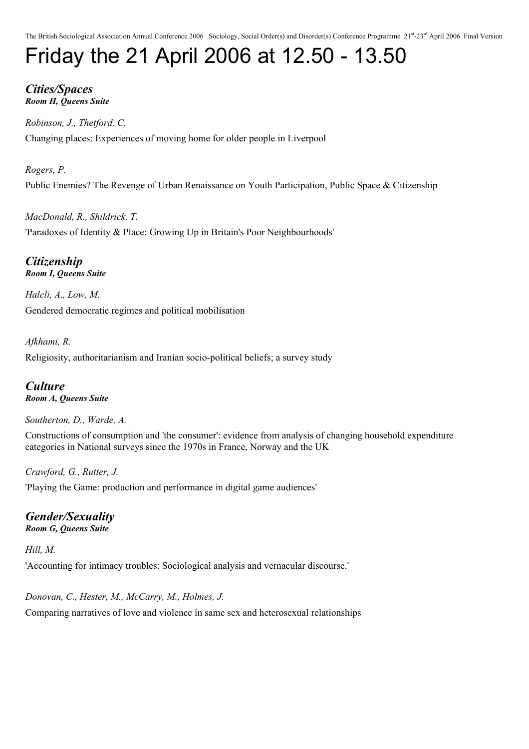# Friday the 21 April 2006 at 12.50 - 13.50

### *Cities/Spaces Room H, Queens Suite*

*Robinson, J., Thetford, C.* Changing places: Experiences of moving home for older people in Liverpool

*Rogers, P.* Public Enemies? The Revenge of Urban Renaissance on Youth Participation, Public Space & Citizenship

*MacDonald, R., Shildrick, T.* 'Paradoxes of Identity & Place: Growing Up in Britain's Poor Neighbourhoods'

*Citizenship Room I, Queens Suite*

*Halcli, A., Low, M.* Gendered democratic regimes and political mobilisation

*Afkhami, R.* Religiosity, authoritarianism and Iranian socio-political beliefs; a survey study

*Culture Room A, Queens Suite*

*Southerton, D., Warde, A.*

Constructions of consumption and 'the consumer': evidence from analysis of changing household expenditure categories in National surveys since the 1970s in France, Norway and the UK

*Crawford, G., Rutter, J.* 'Playing the Game: production and performance in digital game audiences'

### *Gender/Sexuality Room G, Queens Suite*

*Hill, M.*

'Accounting for intimacy troubles: Sociological analysis and vernacular discourse.'

*Donovan, C., Hester, M., McCarry, M., Holmes, J.* Comparing narratives of love and violence in same sex and heterosexual relationships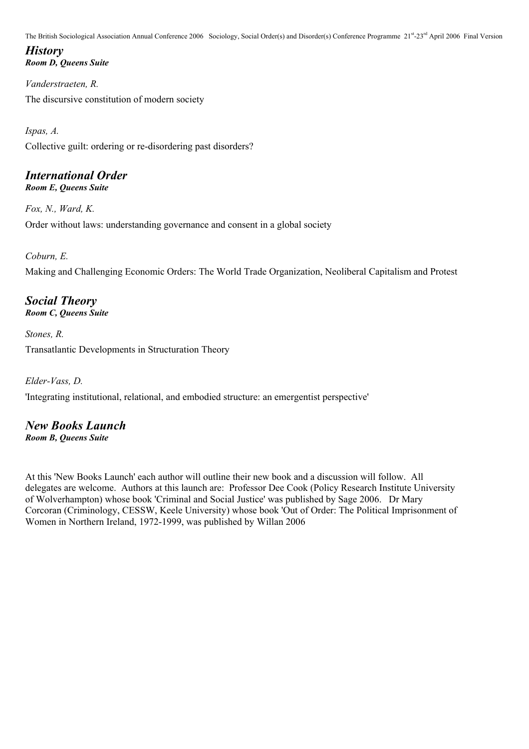### *History Room D, Queens Suite*

*Vanderstraeten, R.* The discursive constitution of modern society

*Ispas, A.* Collective guilt: ordering or re-disordering past disorders?

### *International Order Room E, Queens Suite*

*Fox, N., Ward, K.* Order without laws: understanding governance and consent in a global society

*Coburn, E.* Making and Challenging Economic Orders: The World Trade Organization, Neoliberal Capitalism and Protest

### *Social Theory Room C, Queens Suite*

*Stones, R.* Transatlantic Developments in Structuration Theory

*Elder-Vass, D.* 'Integrating institutional, relational, and embodied structure: an emergentist perspective'

### *New Books Launch Room B, Queens Suite*

At this 'New Books Launch' each author will outline their new book and a discussion will follow. All delegates are welcome. Authors at this launch are: Professor Dee Cook (Policy Research Institute University of Wolverhampton) whose book 'Criminal and Social Justice' was published by Sage 2006. Dr Mary Corcoran (Criminology, CESSW, Keele University) whose book 'Out of Order: The Political Imprisonment of Women in Northern Ireland, 1972-1999, was published by Willan 2006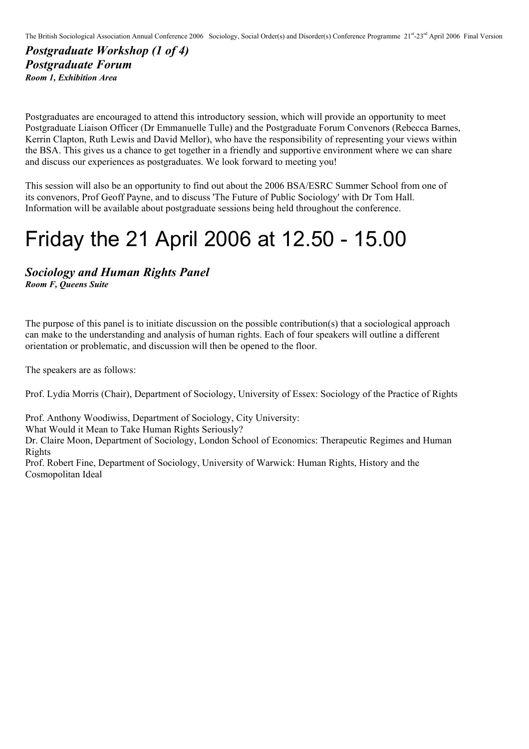### *Postgraduate Workshop (1 of 4) Postgraduate Forum Room 1, Exhibition Area*

Postgraduates are encouraged to attend this introductory session, which will provide an opportunity to meet Postgraduate Liaison Officer (Dr Emmanuelle Tulle) and the Postgraduate Forum Convenors (Rebecca Barnes, Kerrin Clapton, Ruth Lewis and David Mellor), who have the responsibility of representing your views within the BSA. This gives us a chance to get together in a friendly and supportive environment where we can share and discuss our experiences as postgraduates. We look forward to meeting you!

This session will also be an opportunity to find out about the 2006 BSA/ESRC Summer School from one of its convenors, Prof Geoff Payne, and to discuss 'The Future of Public Sociology' with Dr Tom Hall. Information will be available about postgraduate sessions being held throughout the conference.

## Friday the 21 April 2006 at 12.50 - 15.00

*Sociology and Human Rights Panel Room F, Queens Suite*

The purpose of this panel is to initiate discussion on the possible contribution(s) that a sociological approach can make to the understanding and analysis of human rights. Each of four speakers will outline a different orientation or problematic, and discussion will then be opened to the floor.

The speakers are as follows:

Prof. Lydia Morris (Chair), Department of Sociology, University of Essex: Sociology of the Practice of Rights

Prof. Anthony Woodiwiss, Department of Sociology, City University:

What Would it Mean to Take Human Rights Seriously?

Dr. Claire Moon, Department of Sociology, London School of Economics: Therapeutic Regimes and Human Rights

Prof. Robert Fine, Department of Sociology, University of Warwick: Human Rights, History and the Cosmopolitan Ideal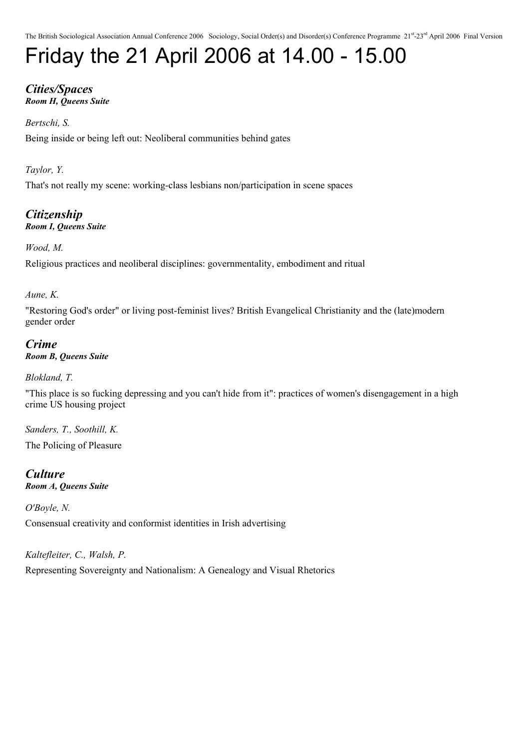# Friday the 21 April 2006 at 14.00 - 15.00

### *Cities/Spaces Room H, Queens Suite*

### *Bertschi, S.*

Being inside or being left out: Neoliberal communities behind gates

*Taylor, Y.*

That's not really my scene: working-class lesbians non/participation in scene spaces

*Citizenship Room I, Queens Suite*

*Wood, M.*

Religious practices and neoliberal disciplines: governmentality, embodiment and ritual

*Aune, K.*

"Restoring God's order" or living post-feminist lives? British Evangelical Christianity and the (late)modern gender order

*Crime Room B, Queens Suite*

*Blokland, T.*

"This place is so fucking depressing and you can't hide from it": practices of women's disengagement in a high crime US housing project

*Sanders, T., Soothill, K.* The Policing of Pleasure

*Culture Room A, Queens Suite*

*O'Boyle, N.* Consensual creativity and conformist identities in Irish advertising

*Kaltefleiter, C., Walsh, P.*

Representing Sovereignty and Nationalism: A Genealogy and Visual Rhetorics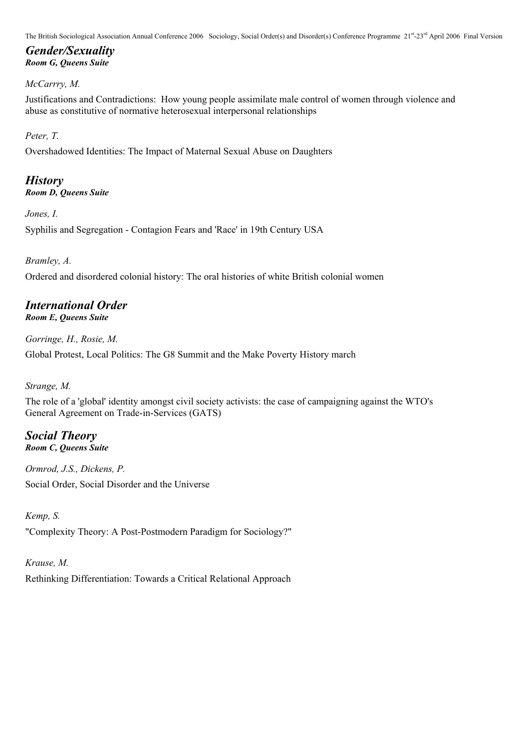### *Gender/Sexuality Room G, Queens Suite*

### *McCarrry, M.*

Justifications and Contradictions: How young people assimilate male control of women through violence and abuse as constitutive of normative heterosexual interpersonal relationships

### *Peter, T.*

Overshadowed Identities: The Impact of Maternal Sexual Abuse on Daughters

### *History*

*Room D, Queens Suite*

*Jones, I.*

Syphilis and Segregation - Contagion Fears and 'Race' in 19th Century USA

### *Bramley, A.*

Ordered and disordered colonial history: The oral histories of white British colonial women

### *International Order*

*Room E, Queens Suite*

*Gorringe, H., Rosie, M.*

Global Protest, Local Politics: The G8 Summit and the Make Poverty History march

*Strange, M.*

The role of a 'global' identity amongst civil society activists: the case of campaigning against the WTO's General Agreement on Trade-in-Services (GATS)

#### *Social Theory Room C, Queens Suite*

*Ormrod, J.S., Dickens, P.* Social Order, Social Disorder and the Universe

### *Kemp, S.*

"Complexity Theory: A Post-Postmodern Paradigm for Sociology?"

### *Krause, M.*

Rethinking Differentiation: Towards a Critical Relational Approach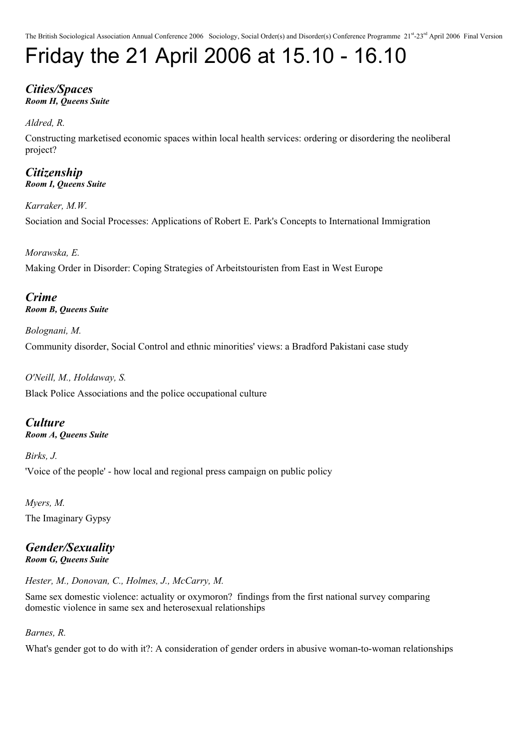## Friday the 21 April 2006 at 15.10 - 16.10

#### *Cities/Spaces Room H, Queens Suite*

*Aldred, R.*

Constructing marketised economic spaces within local health services: ordering or disordering the neoliberal project?

*Citizenship Room I, Queens Suite*

*Karraker, M.W.* Sociation and Social Processes: Applications of Robert E. Park's Concepts to International Immigration

*Morawska, E.* Making Order in Disorder: Coping Strategies of Arbeitstouristen from East in West Europe

*Crime Room B, Queens Suite*

*Bolognani, M.* Community disorder, Social Control and ethnic minorities' views: a Bradford Pakistani case study

*O'Neill, M., Holdaway, S.* Black Police Associations and the police occupational culture

*Culture Room A, Queens Suite*

*Birks, J.* 'Voice of the people' - how local and regional press campaign on public policy

*Myers, M.* The Imaginary Gypsy

### *Gender/Sexuality Room G, Queens Suite*

*Hester, M., Donovan, C., Holmes, J., McCarry, M.*

Same sex domestic violence: actuality or oxymoron? findings from the first national survey comparing domestic violence in same sex and heterosexual relationships

### *Barnes, R.*

What's gender got to do with it?: A consideration of gender orders in abusive woman-to-woman relationships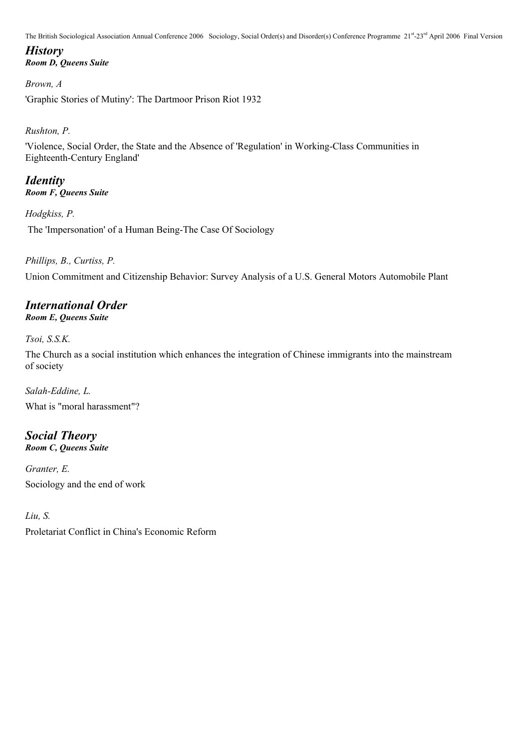### *History Room D, Queens Suite*

*Brown, A*

'Graphic Stories of Mutiny': The Dartmoor Prison Riot 1932

### *Rushton, P.*

'Violence, Social Order, the State and the Absence of 'Regulation' in Working-Class Communities in Eighteenth-Century England'

### *Identity Room F, Queens Suite*

*Hodgkiss, P.*

The 'Impersonation' of a Human Being-The Case Of Sociology

### *Phillips, B., Curtiss, P.*

Union Commitment and Citizenship Behavior: Survey Analysis of a U.S. General Motors Automobile Plant

### *International Order*

*Room E, Queens Suite*

*Tsoi, S.S.K.*

The Church as a social institution which enhances the integration of Chinese immigrants into the mainstream of society

*Salah-Eddine, L.* What is "moral harassment"?

### *Social Theory Room C, Queens Suite*

*Granter, E.* Sociology and the end of work

*Liu, S.*

Proletariat Conflict in China's Economic Reform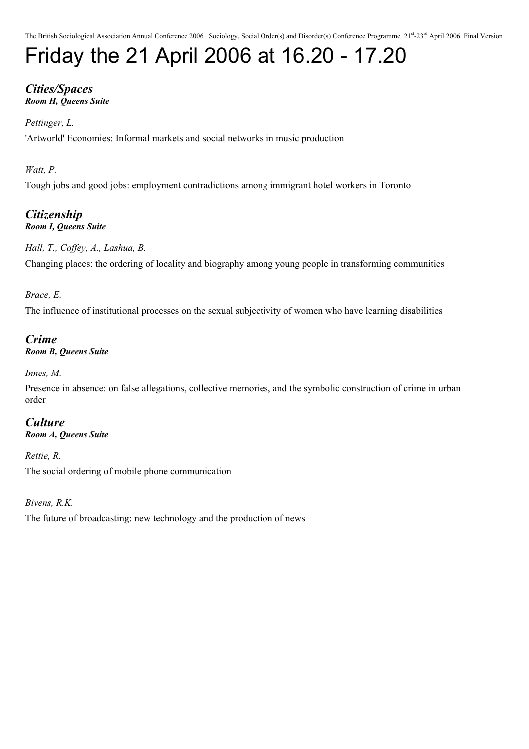# Friday the 21 April 2006 at 16.20 - 17.20

### *Cities/Spaces Room H, Queens Suite*

### *Pettinger, L.*

'Artworld' Economies: Informal markets and social networks in music production

### *Watt, P.*

Tough jobs and good jobs: employment contradictions among immigrant hotel workers in Toronto

### *Citizenship Room I, Queens Suite*

*Hall, T., Coffey, A., Lashua, B.*

Changing places: the ordering of locality and biography among young people in transforming communities

### *Brace, E.*

The influence of institutional processes on the sexual subjectivity of women who have learning disabilities

### *Crime*

*Room B, Queens Suite*

*Innes, M.*

Presence in absence: on false allegations, collective memories, and the symbolic construction of crime in urban order

#### *Culture Room A, Queens Suite*

*Rettie, R.*

The social ordering of mobile phone communication

*Bivens, R.K.* The future of broadcasting: new technology and the production of news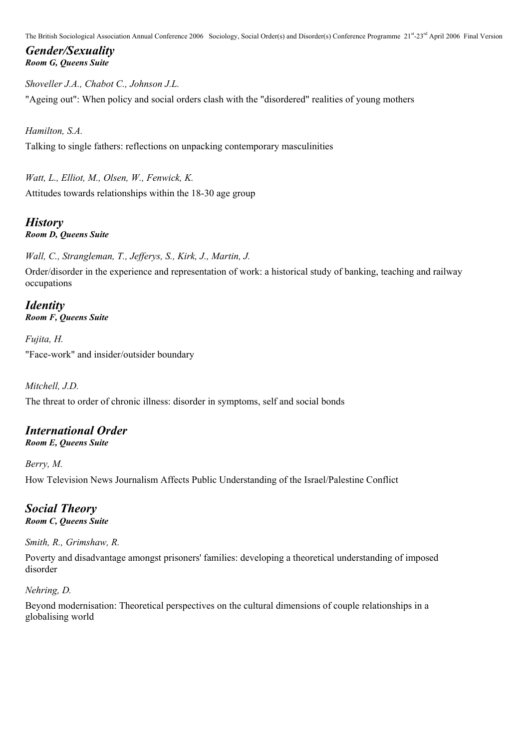### *Gender/Sexuality Room G, Queens Suite*

*Shoveller J.A., Chabot C., Johnson J.L.* "Ageing out": When policy and social orders clash with the "disordered" realities of young mothers

*Hamilton, S.A.*

Talking to single fathers: reflections on unpacking contemporary masculinities

*Watt, L., Elliot, M., Olsen, W., Fenwick, K.* Attitudes towards relationships within the 18-30 age group

*History Room D, Queens Suite*

*Wall, C., Strangleman, T., Jefferys, S., Kirk, J., Martin, J.*

Order/disorder in the experience and representation of work: a historical study of banking, teaching and railway occupations

*Identity Room F, Queens Suite*

*Fujita, H.* "Face-work" and insider/outsider boundary

*Mitchell, J.D.*

The threat to order of chronic illness: disorder in symptoms, self and social bonds

### *International Order*

*Room E, Queens Suite*

*Berry, M.*

How Television News Journalism Affects Public Understanding of the Israel/Palestine Conflict

*Social Theory Room C, Queens Suite*

*Smith, R., Grimshaw, R.*

Poverty and disadvantage amongst prisoners' families: developing a theoretical understanding of imposed disorder

*Nehring, D.*

Beyond modernisation: Theoretical perspectives on the cultural dimensions of couple relationships in a globalising world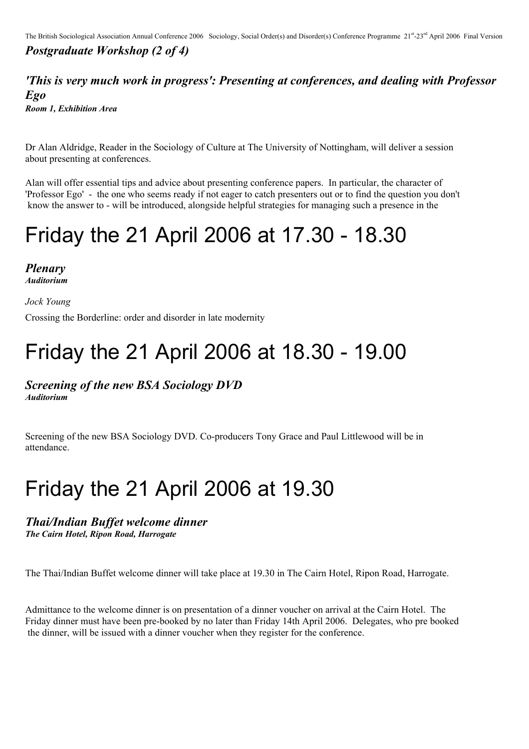### *Postgraduate Workshop (2 of 4)*

### *'This is very much work in progress': Presenting at conferences, and dealing with Professor Ego Room 1, Exhibition Area*

Dr Alan Aldridge, Reader in the Sociology of Culture at The University of Nottingham, will deliver a session about presenting at conferences.

Alan will offer essential tips and advice about presenting conference papers. In particular, the character of 'Professor Ego' - the one who seems ready if not eager to catch presenters out or to find the question you don't know the answer to - will be introduced, alongside helpful strategies for managing such a presence in the

### Friday the 21 April 2006 at 17.30 - 18.30

*Plenary Auditorium*

*Jock Young*

Crossing the Borderline: order and disorder in late modernity

### Friday the 21 April 2006 at 18.30 - 19.00

*Screening of the new BSA Sociology DVD*

*Auditorium*

Screening of the new BSA Sociology DVD. Co-producers Tony Grace and Paul Littlewood will be in attendance.

### Friday the 21 April 2006 at 19.30

#### *Thai/Indian Buffet welcome dinner The Cairn Hotel, Ripon Road, Harrogate*

The Thai/Indian Buffet welcome dinner will take place at 19.30 in The Cairn Hotel, Ripon Road, Harrogate.

Admittance to the welcome dinner is on presentation of a dinner voucher on arrival at the Cairn Hotel. The Friday dinner must have been pre-booked by no later than Friday 14th April 2006. Delegates, who pre booked the dinner, will be issued with a dinner voucher when they register for the conference.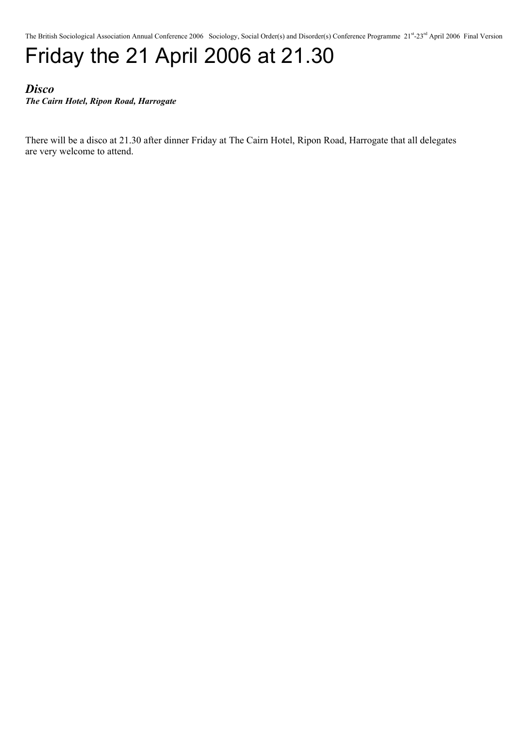## Friday the 21 April 2006 at 21.30

### *Disco The Cairn Hotel, Ripon Road, Harrogate*

There will be a disco at 21.30 after dinner Friday at The Cairn Hotel, Ripon Road, Harrogate that all delegates are very welcome to attend.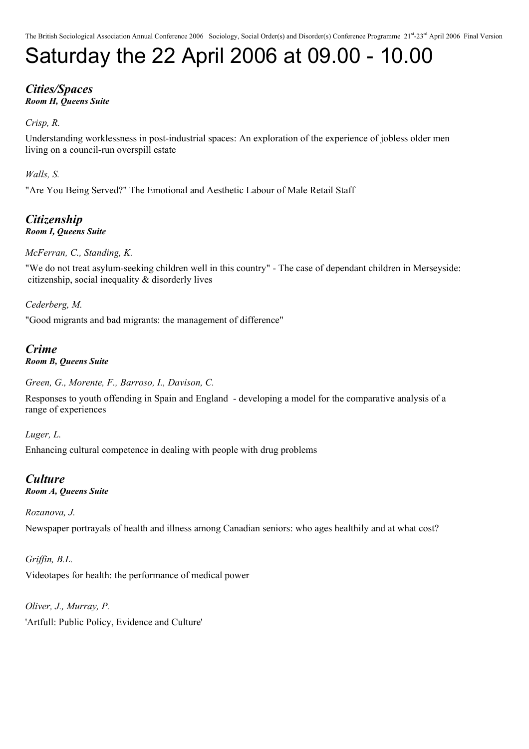# Saturday the 22 April 2006 at 09.00 - 10.00

### *Cities/Spaces Room H, Queens Suite*

### *Crisp, R.*

Understanding worklessness in post-industrial spaces: An exploration of the experience of jobless older men living on a council-run overspill estate

### *Walls, S.*

"Are You Being Served?" The Emotional and Aesthetic Labour of Male Retail Staff

### *Citizenship Room I, Queens Suite*

### *McFerran, C., Standing, K.*

"We do not treat asylum-seeking children well in this country" - The case of dependant children in Merseyside: citizenship, social inequality & disorderly lives

*Cederberg, M.*

"Good migrants and bad migrants: the management of difference"

### *Crime Room B, Queens Suite*

*Green, G., Morente, F., Barroso, I., Davison, C.*

Responses to youth offending in Spain and England - developing a model for the comparative analysis of a range of experiences

### *Luger, L.*

Enhancing cultural competence in dealing with people with drug problems

### *Culture*

### *Room A, Queens Suite*

### *Rozanova, J.*

Newspaper portrayals of health and illness among Canadian seniors: who ages healthily and at what cost?

### *Griffin, B.L.*

Videotapes for health: the performance of medical power

*Oliver, J., Murray, P.* 'Artfull: Public Policy, Evidence and Culture'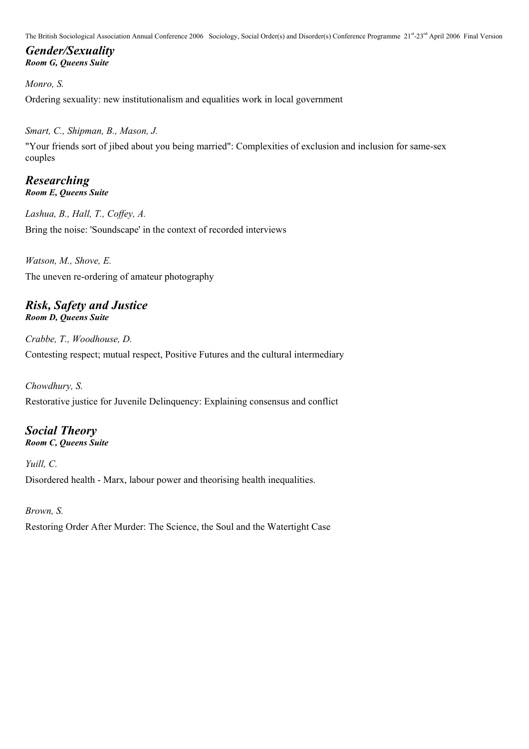### *Gender/Sexuality Room G, Queens Suite*

*Monro, S.* Ordering sexuality: new institutionalism and equalities work in local government

### *Smart, C., Shipman, B., Mason, J.*

"Your friends sort of jibed about you being married": Complexities of exclusion and inclusion for same-sex couples

### *Researching Room E, Queens Suite*

*Lashua, B., Hall, T., Coffey, A.* Bring the noise: 'Soundscape' in the context of recorded interviews

*Watson, M., Shove, E.* The uneven re-ordering of amateur photography

#### *Risk, Safety and Justice Room D, Queens Suite*

*Crabbe, T., Woodhouse, D.* Contesting respect; mutual respect, Positive Futures and the cultural intermediary

### *Chowdhury, S.*

Restorative justice for Juvenile Delinquency: Explaining consensus and conflict

### *Social Theory*

*Room C, Queens Suite*

*Yuill, C.* Disordered health - Marx, labour power and theorising health inequalities.

### *Brown, S.*

Restoring Order After Murder: The Science, the Soul and the Watertight Case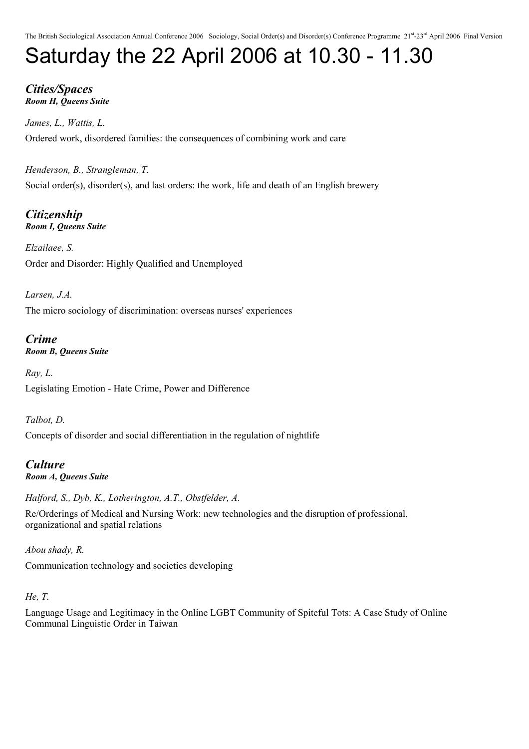# Saturday the 22 April 2006 at 10.30 - 11.30

### *Cities/Spaces Room H, Queens Suite*

*James, L., Wattis, L.* Ordered work, disordered families: the consequences of combining work and care

*Henderson, B., Strangleman, T.* Social order(s), disorder(s), and last orders: the work, life and death of an English brewery

*Citizenship Room I, Queens Suite*

*Elzailaee, S.* Order and Disorder: Highly Qualified and Unemployed

*Larsen, J.A.* The micro sociology of discrimination: overseas nurses' experiences

*Crime Room B, Queens Suite*

*Ray, L.* Legislating Emotion - Hate Crime, Power and Difference

*Talbot, D.* Concepts of disorder and social differentiation in the regulation of nightlife

*Culture Room A, Queens Suite*

*Halford, S., Dyb, K., Lotherington, A.T., Obstfelder, A.*

Re/Orderings of Medical and Nursing Work: new technologies and the disruption of professional, organizational and spatial relations

*Abou shady, R.* Communication technology and societies developing

### *He, T.*

Language Usage and Legitimacy in the Online LGBT Community of Spiteful Tots: A Case Study of Online Communal Linguistic Order in Taiwan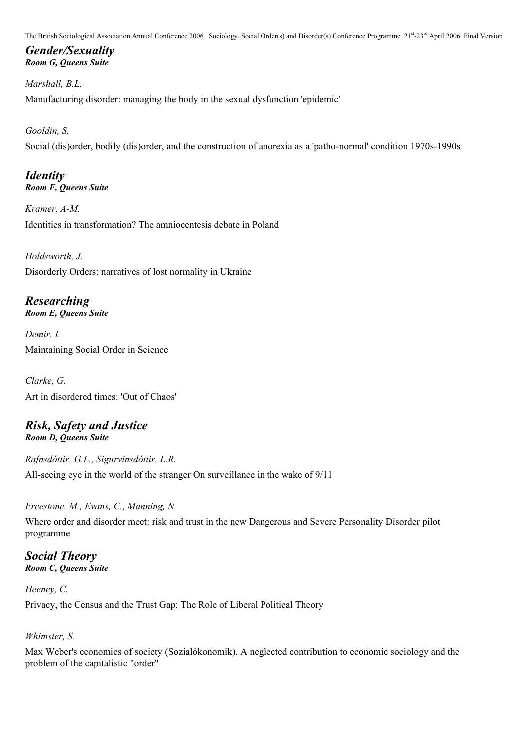### *Gender/Sexuality Room G, Queens Suite*

*Marshall, B.L.* Manufacturing disorder: managing the body in the sexual dysfunction 'epidemic'

### *Gooldin, S.*

Social (dis)order, bodily (dis)order, and the construction of anorexia as a 'patho-normal' condition 1970s-1990s

### *Identity Room F, Queens Suite*

*Kramer, A-M.* Identities in transformation? The amniocentesis debate in Poland

*Holdsworth, J.* Disorderly Orders: narratives of lost normality in Ukraine

*Researching Room E, Queens Suite*

*Demir, I.* Maintaining Social Order in Science

*Clarke, G.* Art in disordered times: 'Out of Chaos'

### *Risk, Safety and Justice Room D, Queens Suite*

*Rafnsdóttir, G.L., Sigurvinsdóttir, L.R.* All-seeing eye in the world of the stranger On surveillance in the wake of 9/11

*Freestone, M., Evans, C., Manning, N.*

Where order and disorder meet: risk and trust in the new Dangerous and Severe Personality Disorder pilot programme

*Social Theory Room C, Queens Suite*

*Heeney, C.* Privacy, the Census and the Trust Gap: The Role of Liberal Political Theory

### *Whimster, S.*

Max Weber's economics of society (Sozialökonomik). A neglected contribution to economic sociology and the problem of the capitalistic "order"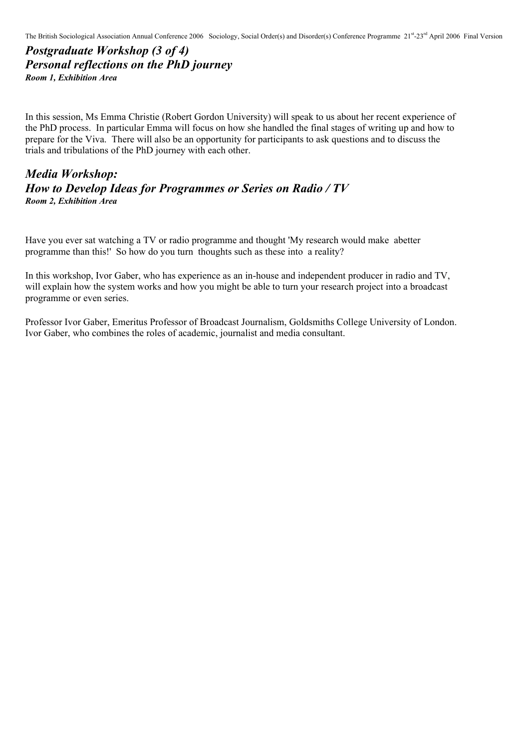*Postgraduate Workshop (3 of 4) Personal reflections on the PhD journey Room 1, Exhibition Area*

In this session, Ms Emma Christie (Robert Gordon University) will speak to us about her recent experience of the PhD process. In particular Emma will focus on how she handled the final stages of writing up and how to prepare for the Viva. There will also be an opportunity for participants to ask questions and to discuss the trials and tribulations of the PhD journey with each other.

### *Media Workshop: How to Develop Ideas for Programmes or Series on Radio / TV Room 2, Exhibition Area*

Have you ever sat watching a TV or radio programme and thought 'My research would make abetter programme than this!' So how do you turn thoughts such as these into a reality?

In this workshop, Ivor Gaber, who has experience as an in-house and independent producer in radio and TV, will explain how the system works and how you might be able to turn your research project into a broadcast programme or even series.

Professor Ivor Gaber, Emeritus Professor of Broadcast Journalism, Goldsmiths College University of London. Ivor Gaber, who combines the roles of academic, journalist and media consultant.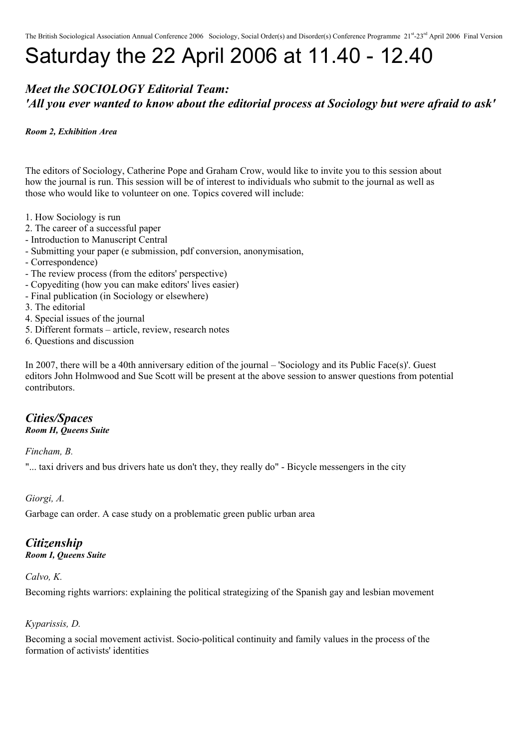# Saturday the 22 April 2006 at 11.40 - 12.40

### *Meet the SOCIOLOGY Editorial Team: 'All you ever wanted to know about the editorial process at Sociology but were afraid to ask'*

#### *Room 2, Exhibition Area*

The editors of Sociology, Catherine Pope and Graham Crow, would like to invite you to this session about how the journal is run. This session will be of interest to individuals who submit to the journal as well as those who would like to volunteer on one. Topics covered will include:

- 1. How Sociology is run
- 2. The career of a successful paper
- Introduction to Manuscript Central
- Submitting your paper (e submission, pdf conversion, anonymisation,
- Correspondence)
- The review process (from the editors' perspective)
- Copyediting (how you can make editors' lives easier)
- Final publication (in Sociology or elsewhere)
- 3. The editorial
- 4. Special issues of the journal
- 5. Different formats article, review, research notes
- 6. Questions and discussion

In 2007, there will be a 40th anniversary edition of the journal – 'Sociology and its Public Face(s)'. Guest editors John Holmwood and Sue Scott will be present at the above session to answer questions from potential contributors.

#### *Cities/Spaces Room H, Queens Suite*

*Fincham, B.*

"... taxi drivers and bus drivers hate us don't they, they really do" - Bicycle messengers in the city

*Giorgi, A.*

Garbage can order. A case study on a problematic green public urban area

### *Citizenship*

*Room I, Queens Suite*

#### *Calvo, K.*

Becoming rights warriors: explaining the political strategizing of the Spanish gay and lesbian movement

#### *Kyparissis, D.*

Becoming a social movement activist. Socio-political continuity and family values in the process of the formation of activists' identities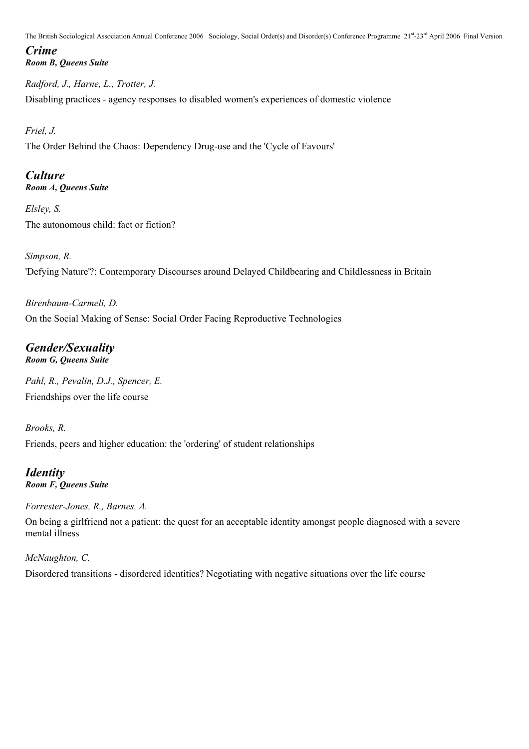### *Crime Room B, Queens Suite*

*Radford, J., Harne, L., Trotter, J.* Disabling practices - agency responses to disabled women's experiences of domestic violence

*Friel, J.*

The Order Behind the Chaos: Dependency Drug-use and the 'Cycle of Favours'

### *Culture*

*Room A, Queens Suite*

*Elsley, S.* The autonomous child: fact or fiction?

*Simpson, R.* 'Defying Nature'?: Contemporary Discourses around Delayed Childbearing and Childlessness in Britain

*Birenbaum-Carmeli, D.* On the Social Making of Sense: Social Order Facing Reproductive Technologies

### *Gender/Sexuality Room G, Queens Suite*

*Pahl, R., Pevalin, D.J., Spencer, E.* Friendships over the life course

*Brooks, R.* Friends, peers and higher education: the 'ordering' of student relationships

*Identity Room F, Queens Suite*

*Forrester-Jones, R., Barnes, A.*

On being a girlfriend not a patient: the quest for an acceptable identity amongst people diagnosed with a severe mental illness

*McNaughton, C.* Disordered transitions - disordered identities? Negotiating with negative situations over the life course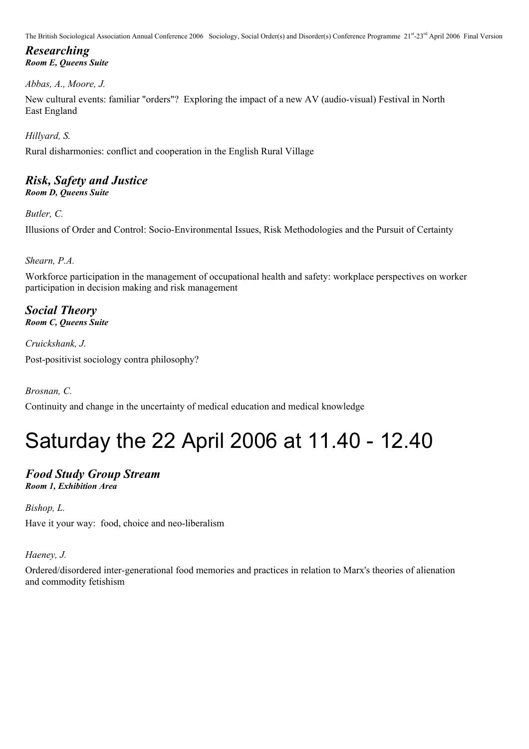*Researching Room E, Queens Suite*

### *Abbas, A., Moore, J.*

New cultural events: familiar "orders"? Exploring the impact of a new AV (audio-visual) Festival in North East England

*Hillyard, S.*

Rural disharmonies: conflict and cooperation in the English Rural Village

### *Risk, Safety and Justice*

*Room D, Queens Suite*

*Butler, C.*

Illusions of Order and Control: Socio-Environmental Issues, Risk Methodologies and the Pursuit of Certainty

### *Shearn, P.A.*

Workforce participation in the management of occupational health and safety: workplace perspectives on worker participation in decision making and risk management

### *Social Theory Room C, Queens Suite*

*Cruickshank, J.* Post-positivist sociology contra philosophy?

*Brosnan, C.*

Continuity and change in the uncertainty of medical education and medical knowledge

## Saturday the 22 April 2006 at 11.40 - 12.40

### *Food Study Group Stream Room 1, Exhibition Area*

*Bishop, L.*

Have it your way: food, choice and neo-liberalism

*Haeney, J.*

Ordered/disordered inter-generational food memories and practices in relation to Marx's theories of alienation and commodity fetishism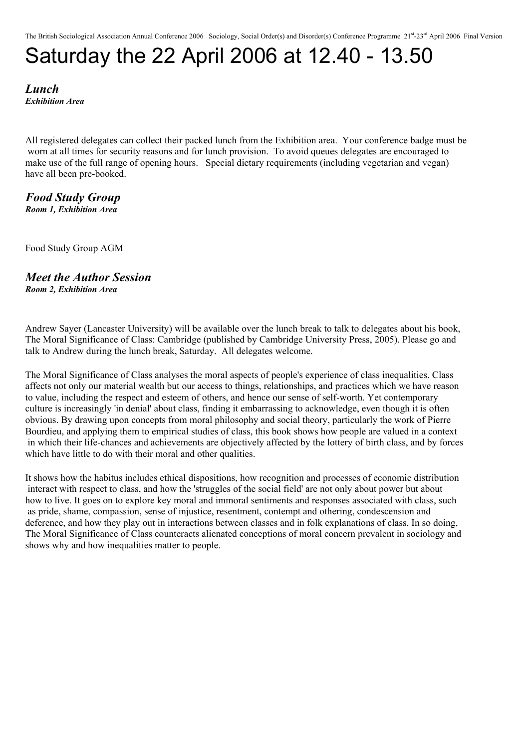## Saturday the 22 April 2006 at 12.40 - 13.50

*Lunch Exhibition Area*

All registered delegates can collect their packed lunch from the Exhibition area. Your conference badge must be worn at all times for security reasons and for lunch provision. To avoid queues delegates are encouraged to make use of the full range of opening hours. Special dietary requirements (including vegetarian and vegan) have all been pre-booked.

*Food Study Group Room 1, Exhibition Area*

Food Study Group AGM

### *Meet the Author Session Room 2, Exhibition Area*

Andrew Sayer (Lancaster University) will be available over the lunch break to talk to delegates about his book, The Moral Significance of Class: Cambridge (published by Cambridge University Press, 2005). Please go and talk to Andrew during the lunch break, Saturday. All delegates welcome.

The Moral Significance of Class analyses the moral aspects of people's experience of class inequalities. Class affects not only our material wealth but our access to things, relationships, and practices which we have reason to value, including the respect and esteem of others, and hence our sense of self-worth. Yet contemporary culture is increasingly 'in denial' about class, finding it embarrassing to acknowledge, even though it is often obvious. By drawing upon concepts from moral philosophy and social theory, particularly the work of Pierre Bourdieu, and applying them to empirical studies of class, this book shows how people are valued in a context in which their life-chances and achievements are objectively affected by the lottery of birth class, and by forces which have little to do with their moral and other qualities.

It shows how the habitus includes ethical dispositions, how recognition and processes of economic distribution interact with respect to class, and how the 'struggles of the social field' are not only about power but about how to live. It goes on to explore key moral and immoral sentiments and responses associated with class, such as pride, shame, compassion, sense of injustice, resentment, contempt and othering, condescension and deference, and how they play out in interactions between classes and in folk explanations of class. In so doing, The Moral Significance of Class counteracts alienated conceptions of moral concern prevalent in sociology and shows why and how inequalities matter to people.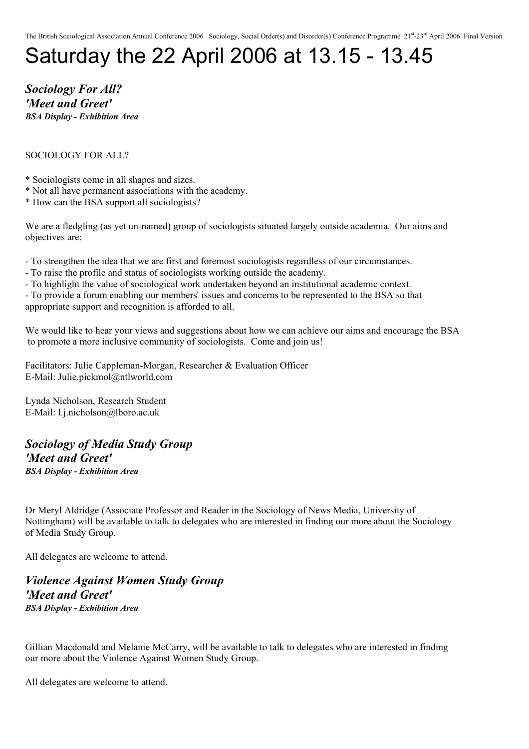# Saturday the 22 April 2006 at 13.15 - 13.45

*Sociology For All? 'Meet and Greet' BSA Display - Exhibition Area*

#### SOCIOLOGY FOR ALL?

- \* Sociologists come in all shapes and sizes.
- \* Not all have permanent associations with the academy.
- \* How can the BSA support all sociologists?

We are a fledgling (as yet un-named) group of sociologists situated largely outside academia. Our aims and objectives are:

- To strengthen the idea that we are first and foremost sociologists regardless of our circumstances.
- To raise the profile and status of sociologists working outside the academy.
- To highlight the value of sociological work undertaken beyond an institutional academic context.

- To provide a forum enabling our members' issues and concerns to be represented to the BSA so that appropriate support and recognition is afforded to all.

We would like to hear your views and suggestions about how we can achieve our aims and encourage the BSA to promote a more inclusive community of sociologists. Come and join us!

Facilitators: Julie Cappleman-Morgan, Researcher & Evaluation Officer E-Mail: Julie.pickmol@ntlworld.com

Lynda Nicholson, Research Student E-Mail: l.j.nicholson@lboro.ac.uk

### *Sociology of Media Study Group 'Meet and Greet' BSA Display - Exhibition Area*

Dr Meryl Aldridge (Associate Professor and Reader in the Sociology of News Media, University of Nottingham) will be available to talk to delegates who are interested in finding our more about the Sociology of Media Study Group.

All delegates are welcome to attend.

*Violence Against Women Study Group 'Meet and Greet' BSA Display - Exhibition Area*

Gillian Macdonald and Melanie McCarry, will be available to talk to delegates who are interested in finding our more about the Violence Against Women Study Group.

All delegates are welcome to attend.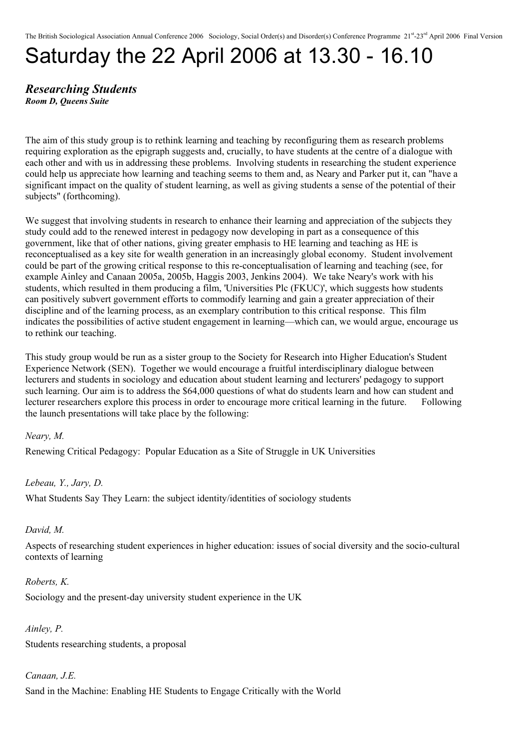# Saturday the 22 April 2006 at 13.30 - 16.10

#### *Researching Students Room D, Queens Suite*

The aim of this study group is to rethink learning and teaching by reconfiguring them as research problems requiring exploration as the epigraph suggests and, crucially, to have students at the centre of a dialogue with each other and with us in addressing these problems. Involving students in researching the student experience could help us appreciate how learning and teaching seems to them and, as Neary and Parker put it, can "have a significant impact on the quality of student learning, as well as giving students a sense of the potential of their subjects" (forthcoming).

We suggest that involving students in research to enhance their learning and appreciation of the subjects they study could add to the renewed interest in pedagogy now developing in part as a consequence of this government, like that of other nations, giving greater emphasis to HE learning and teaching as HE is reconceptualised as a key site for wealth generation in an increasingly global economy. Student involvement could be part of the growing critical response to this re-conceptualisation of learning and teaching (see, for example Ainley and Canaan 2005a, 2005b, Haggis 2003, Jenkins 2004). We take Neary's work with his students, which resulted in them producing a film, 'Universities Plc (FKUC)', which suggests how students can positively subvert government efforts to commodify learning and gain a greater appreciation of their discipline and of the learning process, as an exemplary contribution to this critical response. This film indicates the possibilities of active student engagement in learning—which can, we would argue, encourage us to rethink our teaching.

This study group would be run as a sister group to the Society for Research into Higher Education's Student Experience Network (SEN). Together we would encourage a fruitful interdisciplinary dialogue between lecturers and students in sociology and education about student learning and lecturers' pedagogy to support such learning. Our aim is to address the \$64,000 questions of what do students learn and how can student and lecturer researchers explore this process in order to encourage more critical learning in the future. Following the launch presentations will take place by the following:

*Neary, M.*

Renewing Critical Pedagogy: Popular Education as a Site of Struggle in UK Universities

*Lebeau, Y., Jary, D.*

What Students Say They Learn: the subject identity/identities of sociology students

*David, M.*

Aspects of researching student experiences in higher education: issues of social diversity and the socio-cultural contexts of learning

*Roberts, K.* Sociology and the present-day university student experience in the UK

*Ainley, P.* Students researching students, a proposal

*Canaan, J.E.* Sand in the Machine: Enabling HE Students to Engage Critically with the World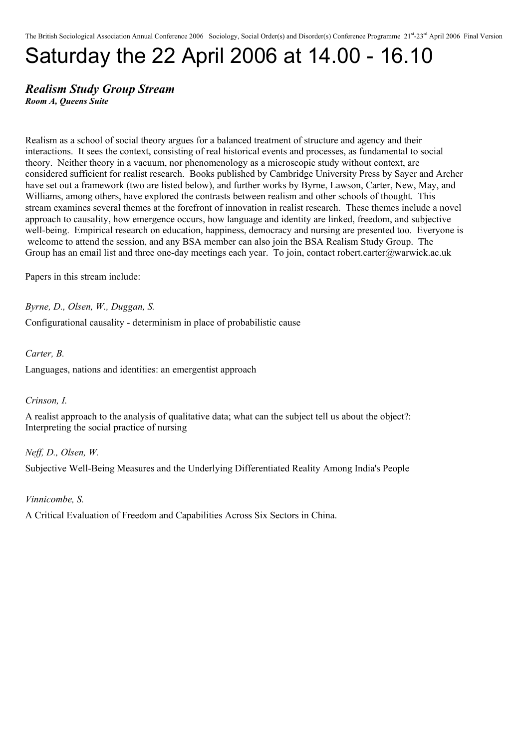# Saturday the 22 April 2006 at 14.00 - 16.10

### *Realism Study Group Stream*

*Room A, Queens Suite*

Realism as a school of social theory argues for a balanced treatment of structure and agency and their interactions. It sees the context, consisting of real historical events and processes, as fundamental to social theory. Neither theory in a vacuum, nor phenomenology as a microscopic study without context, are considered sufficient for realist research. Books published by Cambridge University Press by Sayer and Archer have set out a framework (two are listed below), and further works by Byrne, Lawson, Carter, New, May, and Williams, among others, have explored the contrasts between realism and other schools of thought. This stream examines several themes at the forefront of innovation in realist research. These themes include a novel approach to causality, how emergence occurs, how language and identity are linked, freedom, and subjective well-being. Empirical research on education, happiness, democracy and nursing are presented too. Everyone is welcome to attend the session, and any BSA member can also join the BSA Realism Study Group. The Group has an email list and three one-day meetings each year. To join, contact robert.carter@warwick.ac.uk

Papers in this stream include:

*Byrne, D., Olsen, W., Duggan, S.* Configurational causality - determinism in place of probabilistic cause

*Carter, B.*

Languages, nations and identities: an emergentist approach

*Crinson, I.*

A realist approach to the analysis of qualitative data; what can the subject tell us about the object?: Interpreting the social practice of nursing

*Neff, D., Olsen, W.* Subjective Well-Being Measures and the Underlying Differentiated Reality Among India's People

*Vinnicombe, S.*

A Critical Evaluation of Freedom and Capabilities Across Six Sectors in China.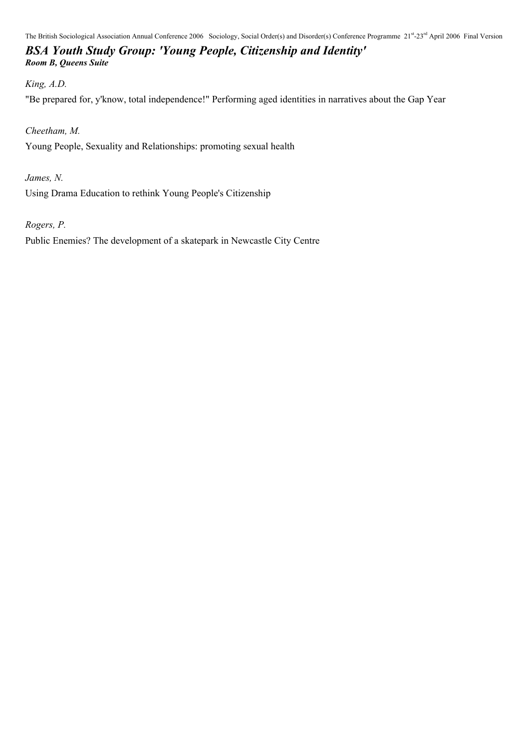### *BSA Youth Study Group: 'Young People, Citizenship and Identity' Room B, Queens Suite*

#### *King, A.D.*

"Be prepared for, y'know, total independence!" Performing aged identities in narratives about the Gap Year

### *Cheetham, M.*

Young People, Sexuality and Relationships: promoting sexual health

*James, N.*

Using Drama Education to rethink Young People's Citizenship

*Rogers, P.*

Public Enemies? The development of a skatepark in Newcastle City Centre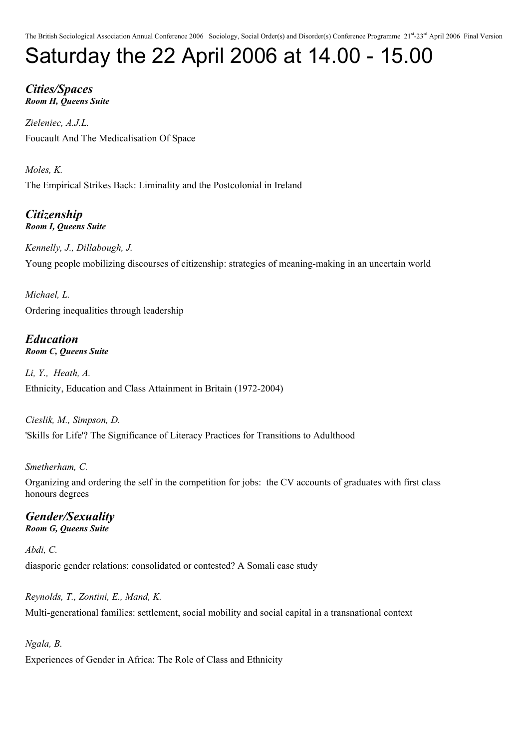# Saturday the 22 April 2006 at 14.00 - 15.00

*Cities/Spaces Room H, Queens Suite*

*Zieleniec, A.J.L.* Foucault And The Medicalisation Of Space

*Moles, K.* The Empirical Strikes Back: Liminality and the Postcolonial in Ireland

*Citizenship Room I, Queens Suite*

*Kennelly, J., Dillabough, J.* Young people mobilizing discourses of citizenship: strategies of meaning-making in an uncertain world

*Michael, L.* Ordering inequalities through leadership

#### *Education Room C, Queens Suite*

*Li, Y., Heath, A.* Ethnicity, Education and Class Attainment in Britain (1972-2004)

*Cieslik, M., Simpson, D.* 'Skills for Life'? The Significance of Literacy Practices for Transitions to Adulthood

### *Smetherham, C.*

Organizing and ordering the self in the competition for jobs: the CV accounts of graduates with first class honours degrees

### *Gender/Sexuality*

*Room G, Queens Suite*

### *Abdi, C.*

diasporic gender relations: consolidated or contested? A Somali case study

*Reynolds, T., Zontini, E., Mand, K.* Multi-generational families: settlement, social mobility and social capital in a transnational context

*Ngala, B.* Experiences of Gender in Africa: The Role of Class and Ethnicity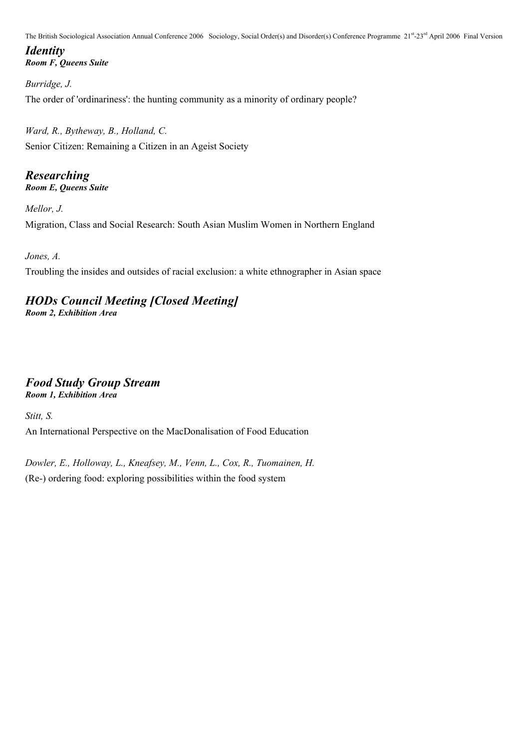### *Identity Room F, Queens Suite*

*Burridge, J.* The order of 'ordinariness': the hunting community as a minority of ordinary people?

*Ward, R., Bytheway, B., Holland, C.* Senior Citizen: Remaining a Citizen in an Ageist Society

### *Researching*

*Room E, Queens Suite*

*Mellor, J.* Migration, Class and Social Research: South Asian Muslim Women in Northern England

*Jones, A.*

Troubling the insides and outsides of racial exclusion: a white ethnographer in Asian space

### *HODs Council Meeting [Closed Meeting]*

*Room 2, Exhibition Area*

### *Food Study Group Stream*

*Room 1, Exhibition Area*

*Stitt, S.*

An International Perspective on the MacDonalisation of Food Education

*Dowler, E., Holloway, L., Kneafsey, M., Venn, L., Cox, R., Tuomainen, H.* (Re-) ordering food: exploring possibilities within the food system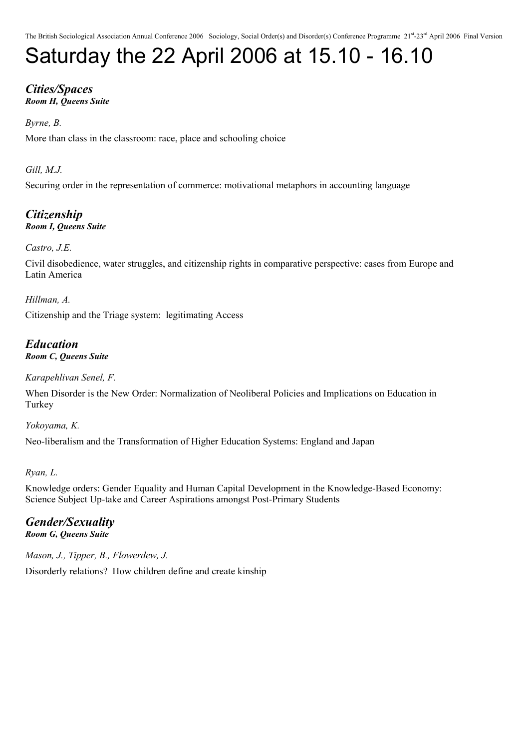# Saturday the 22 April 2006 at 15.10 - 16.10

### *Cities/Spaces Room H, Queens Suite*

### *Byrne, B.*

More than class in the classroom: race, place and schooling choice

### *Gill, M.J.*

Securing order in the representation of commerce: motivational metaphors in accounting language

#### *Citizenship Room I, Queens Suite*

### *Castro, J.E.*

Civil disobedience, water struggles, and citizenship rights in comparative perspective: cases from Europe and Latin America

*Hillman, A.*

Citizenship and the Triage system: legitimating Access

#### *Education Room C, Queens Suite*

*Karapehlivan Senel, F.*

When Disorder is the New Order: Normalization of Neoliberal Policies and Implications on Education in **Turkey** 

*Yokoyama, K.* Neo-liberalism and the Transformation of Higher Education Systems: England and Japan

### *Ryan, L.*

Knowledge orders: Gender Equality and Human Capital Development in the Knowledge-Based Economy: Science Subject Up-take and Career Aspirations amongst Post-Primary Students

### *Gender/Sexuality*

*Room G, Queens Suite*

*Mason, J., Tipper, B., Flowerdew, J.* Disorderly relations? How children define and create kinship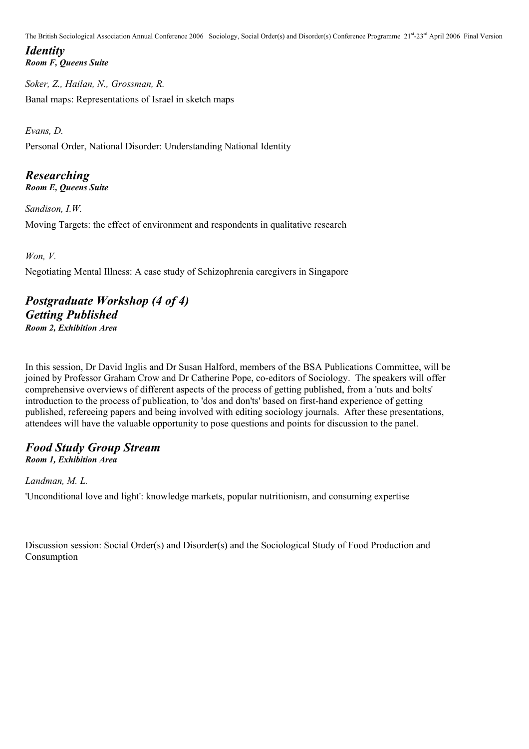*Identity Room F, Queens Suite*

*Soker, Z., Hailan, N., Grossman, R.* Banal maps: Representations of Israel in sketch maps

*Evans, D.*

Personal Order, National Disorder: Understanding National Identity

### *Researching*

*Room E, Queens Suite*

*Sandison, I.W.* Moving Targets: the effect of environment and respondents in qualitative research

*Won, V.*

Negotiating Mental Illness: A case study of Schizophrenia caregivers in Singapore

### *Postgraduate Workshop (4 of 4) Getting Published Room 2, Exhibition Area*

In this session, Dr David Inglis and Dr Susan Halford, members of the BSA Publications Committee, will be joined by Professor Graham Crow and Dr Catherine Pope, co-editors of Sociology. The speakers will offer comprehensive overviews of different aspects of the process of getting published, from a 'nuts and bolts' introduction to the process of publication, to 'dos and don'ts' based on first-hand experience of getting published, refereeing papers and being involved with editing sociology journals. After these presentations, attendees will have the valuable opportunity to pose questions and points for discussion to the panel.

#### *Food Study Group Stream Room 1, Exhibition Area*

*Landman, M. L.*

'Unconditional love and light': knowledge markets, popular nutritionism, and consuming expertise

Discussion session: Social Order(s) and Disorder(s) and the Sociological Study of Food Production and Consumption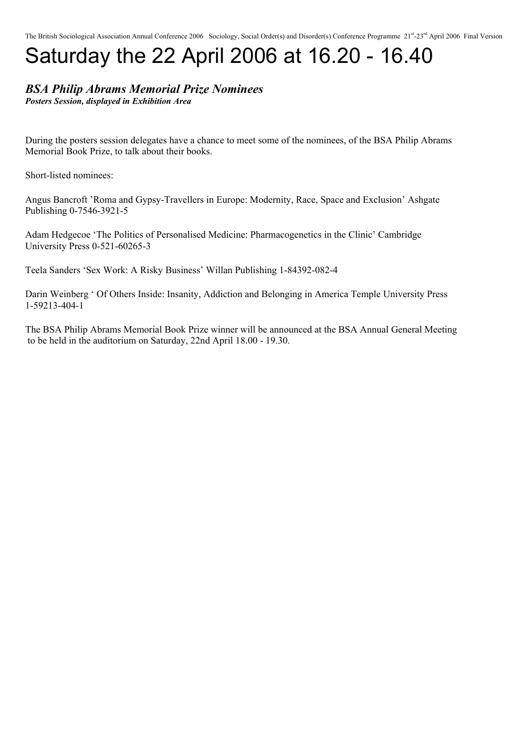# Saturday the 22 April 2006 at 16.20 - 16.40

### *BSA Philip Abrams Memorial Prize Nominees*

*Posters Session, displayed in Exhibition Area*

During the posters session delegates have a chance to meet some of the nominees, of the BSA Philip Abrams Memorial Book Prize, to talk about their books.

Short-listed nominees:

Angus Bancroft 'Roma and Gypsy-Travellers in Europe: Modernity, Race, Space and Exclusion' Ashgate Publishing 0-7546-3921-5

Adam Hedgecoe 'The Politics of Personalised Medicine: Pharmacogenetics in the Clinic' Cambridge University Press 0-521-60265-3

Teela Sanders 'Sex Work: A Risky Business' Willan Publishing 1-84392-082-4

Darin Weinberg ' Of Others Inside: Insanity, Addiction and Belonging in America Temple University Press 1-59213-404-1

The BSA Philip Abrams Memorial Book Prize winner will be announced at the BSA Annual General Meeting to be held in the auditorium on Saturday, 22nd April 18.00 - 19.30.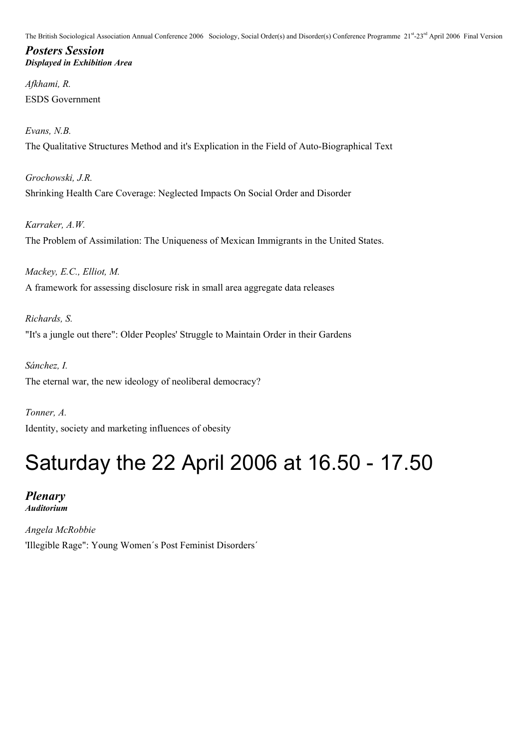*Posters Session Displayed in Exhibition Area*

*Afkhami, R.* ESDS Government

*Evans, N.B.* The Qualitative Structures Method and it's Explication in the Field of Auto-Biographical Text

*Grochowski, J.R.* Shrinking Health Care Coverage: Neglected Impacts On Social Order and Disorder

*Karraker, A.W.* The Problem of Assimilation: The Uniqueness of Mexican Immigrants in the United States.

*Mackey, E.C., Elliot, M.* A framework for assessing disclosure risk in small area aggregate data releases

*Richards, S.* "It's a jungle out there": Older Peoples' Struggle to Maintain Order in their Gardens

*Sánchez, I.* The eternal war, the new ideology of neoliberal democracy?

*Tonner, A.* Identity, society and marketing influences of obesity

## Saturday the 22 April 2006 at 16.50 - 17.50

*Plenary Auditorium*

*Angela McRobbie* 'Illegible Rage": Young Women´s Post Feminist Disorders´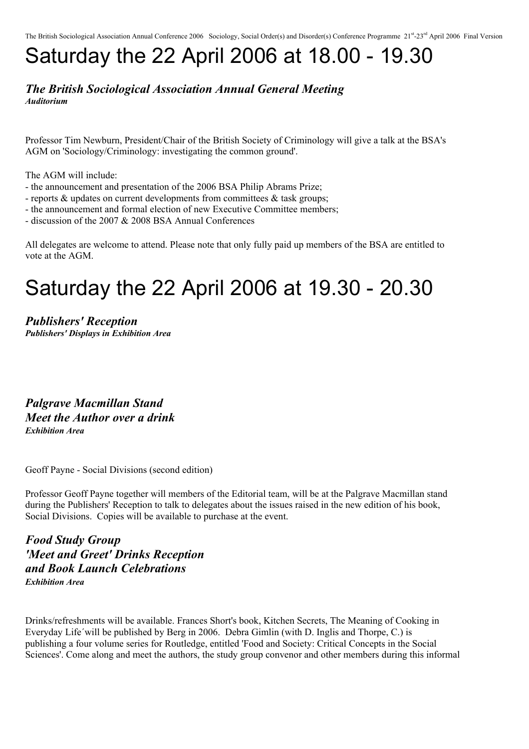## Saturday the 22 April 2006 at 18.00 - 19.30

#### *The British Sociological Association Annual General Meeting Auditorium*

Professor Tim Newburn, President/Chair of the British Society of Criminology will give a talk at the BSA's AGM on 'Sociology/Criminology: investigating the common ground'.

The AGM will include:

- the announcement and presentation of the 2006 BSA Philip Abrams Prize;
- reports & updates on current developments from committees & task groups;
- the announcement and formal election of new Executive Committee members;
- discussion of the 2007 & 2008 BSA Annual Conferences

All delegates are welcome to attend. Please note that only fully paid up members of the BSA are entitled to vote at the AGM.

### Saturday the 22 April 2006 at 19.30 - 20.30

*Publishers' Reception Publishers' Displays in Exhibition Area*

*Palgrave Macmillan Stand Meet the Author over a drink Exhibition Area*

Geoff Payne - Social Divisions (second edition)

Professor Geoff Payne together will members of the Editorial team, will be at the Palgrave Macmillan stand during the Publishers' Reception to talk to delegates about the issues raised in the new edition of his book, Social Divisions. Copies will be available to purchase at the event.

*Food Study Group 'Meet and Greet' Drinks Reception and Book Launch Celebrations Exhibition Area*

Drinks/refreshments will be available. Frances Short's book, Kitchen Secrets, The Meaning of Cooking in Everyday Life´will be published by Berg in 2006. Debra Gimlin (with D. Inglis and Thorpe, C.) is publishing a four volume series for Routledge, entitled 'Food and Society: Critical Concepts in the Social Sciences'. Come along and meet the authors, the study group convenor and other members during this informal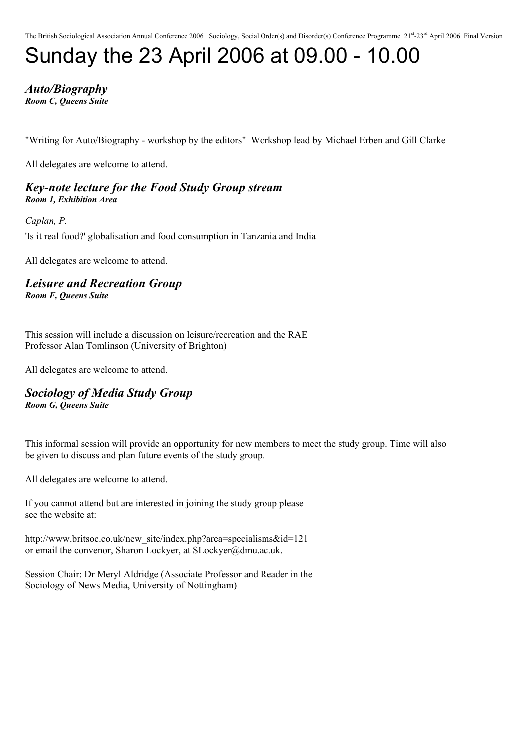# Sunday the 23 April 2006 at 09.00 - 10.00

*Auto/Biography Room C, Queens Suite*

"Writing for Auto/Biography - workshop by the editors" Workshop lead by Michael Erben and Gill Clarke

All delegates are welcome to attend.

*Key-note lecture for the Food Study Group stream Room 1, Exhibition Area*

*Caplan, P.*

'Is it real food?' globalisation and food consumption in Tanzania and India

All delegates are welcome to attend.

*Leisure and Recreation Group Room F, Queens Suite*

This session will include a discussion on leisure/recreation and the RAE Professor Alan Tomlinson (University of Brighton)

All delegates are welcome to attend.

*Sociology of Media Study Group Room G, Queens Suite*

This informal session will provide an opportunity for new members to meet the study group. Time will also be given to discuss and plan future events of the study group.

All delegates are welcome to attend.

If you cannot attend but are interested in joining the study group please see the website at:

http://www.britsoc.co.uk/new\_site/index.php?area=specialisms&id=121 or email the convenor, Sharon Lockyer, at SLockyer@dmu.ac.uk.

Session Chair: Dr Meryl Aldridge (Associate Professor and Reader in the Sociology of News Media, University of Nottingham)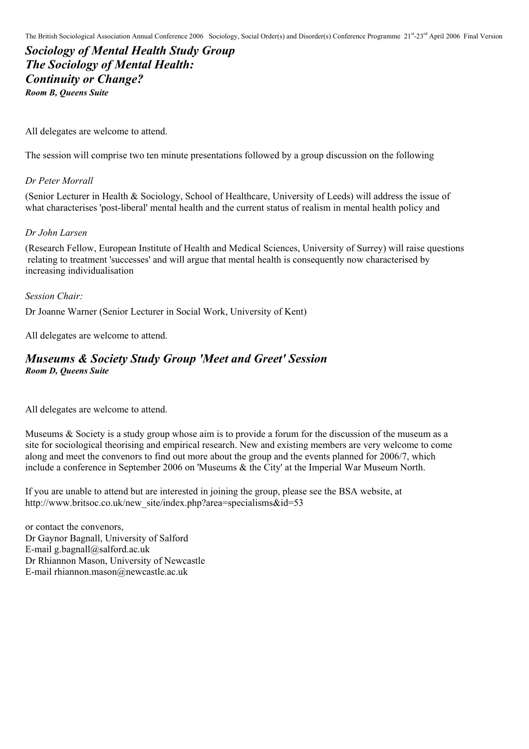*Sociology of Mental Health Study Group The Sociology of Mental Health: Continuity or Change? Room B, Queens Suite*

All delegates are welcome to attend.

The session will comprise two ten minute presentations followed by a group discussion on the following

#### *Dr Peter Morrall*

(Senior Lecturer in Health & Sociology, School of Healthcare, University of Leeds) will address the issue of what characterises 'post-liberal' mental health and the current status of realism in mental health policy and

#### *Dr John Larsen*

(Research Fellow, European Institute of Health and Medical Sciences, University of Surrey) will raise questions relating to treatment 'successes' and will argue that mental health is consequently now characterised by increasing individualisation

#### *Session Chair:*

Dr Joanne Warner (Senior Lecturer in Social Work, University of Kent)

All delegates are welcome to attend.

#### *Museums & Society Study Group 'Meet and Greet' Session Room D, Queens Suite*

All delegates are welcome to attend.

Museums & Society is a study group whose aim is to provide a forum for the discussion of the museum as a site for sociological theorising and empirical research. New and existing members are very welcome to come along and meet the convenors to find out more about the group and the events planned for 2006/7, which include a conference in September 2006 on 'Museums & the City' at the Imperial War Museum North.

If you are unable to attend but are interested in joining the group, please see the BSA website, at http://www.britsoc.co.uk/new\_site/index.php?area=specialisms&id=53

or contact the convenors, Dr Gaynor Bagnall, University of Salford E-mail g.bagnall@salford.ac.uk Dr Rhiannon Mason, University of Newcastle E-mail rhiannon.mason@newcastle.ac.uk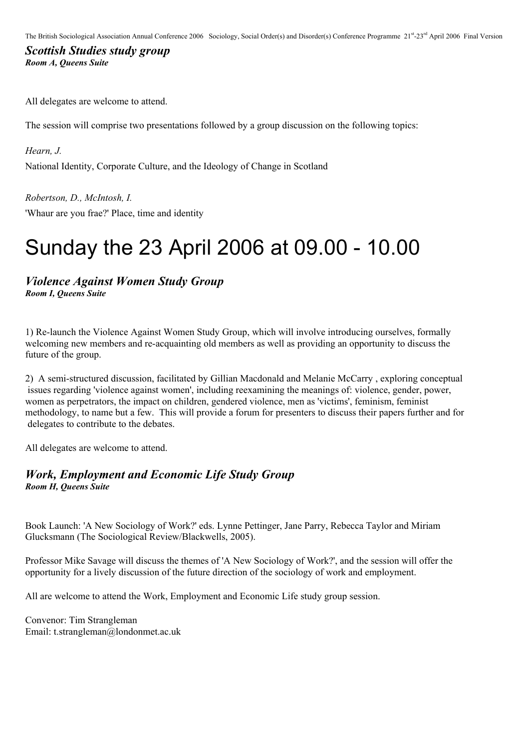### *Scottish Studies study group Room A, Queens Suite*

All delegates are welcome to attend.

The session will comprise two presentations followed by a group discussion on the following topics:

*Hearn, J.* National Identity, Corporate Culture, and the Ideology of Change in Scotland

*Robertson, D., McIntosh, I.*

'Whaur are you frae?' Place, time and identity

### Sunday the 23 April 2006 at 09.00 - 10.00

#### *Violence Against Women Study Group Room I, Queens Suite*

1) Re-launch the Violence Against Women Study Group, which will involve introducing ourselves, formally welcoming new members and re-acquainting old members as well as providing an opportunity to discuss the future of the group.

2) A semi-structured discussion, facilitated by Gillian Macdonald and Melanie McCarry , exploring conceptual issues regarding 'violence against women', including reexamining the meanings of: violence, gender, power, women as perpetrators, the impact on children, gendered violence, men as 'victims', feminism, feminist methodology, to name but a few. This will provide a forum for presenters to discuss their papers further and for delegates to contribute to the debates.

All delegates are welcome to attend.

### *Work, Employment and Economic Life Study Group Room H, Queens Suite*

Book Launch: 'A New Sociology of Work?' eds. Lynne Pettinger, Jane Parry, Rebecca Taylor and Miriam Glucksmann (The Sociological Review/Blackwells, 2005).

Professor Mike Savage will discuss the themes of 'A New Sociology of Work?', and the session will offer the opportunity for a lively discussion of the future direction of the sociology of work and employment.

All are welcome to attend the Work, Employment and Economic Life study group session.

Convenor: Tim Strangleman Email: t.strangleman@londonmet.ac.uk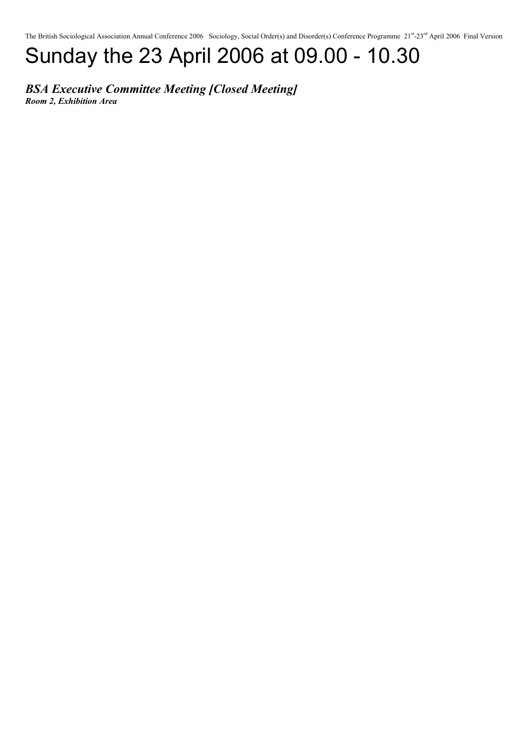# Sunday the 23 April 2006 at 09.00 - 10.30

### *BSA Executive Committee Meeting [Closed Meeting]*

*Room 2, Exhibition Area*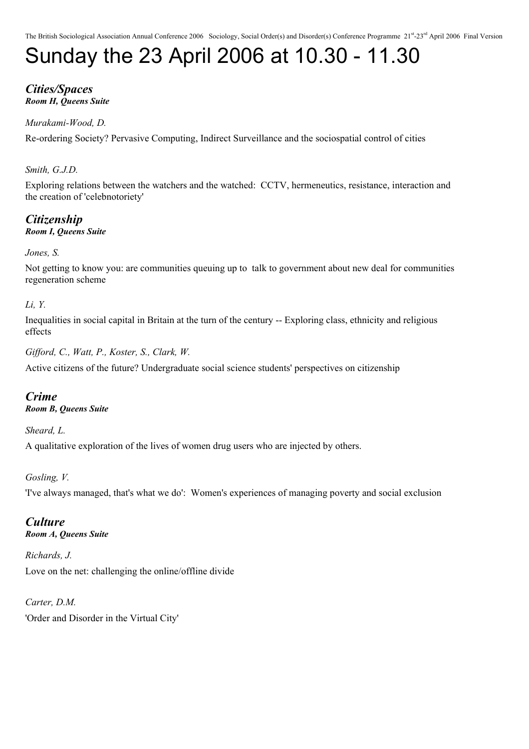# Sunday the 23 April 2006 at 10.30 - 11.30

#### *Cities/Spaces Room H, Queens Suite*

### *Murakami-Wood, D.*

Re-ordering Society? Pervasive Computing, Indirect Surveillance and the sociospatial control of cities

### *Smith, G.J.D.*

Exploring relations between the watchers and the watched: CCTV, hermeneutics, resistance, interaction and the creation of 'celebnotoriety'

*Citizenship Room I, Queens Suite*

#### *Jones, S.*

Not getting to know you: are communities queuing up to talk to government about new deal for communities regeneration scheme

### *Li, Y.*

Inequalities in social capital in Britain at the turn of the century -- Exploring class, ethnicity and religious effects

*Gifford, C., Watt, P., Koster, S., Clark, W.*

Active citizens of the future? Undergraduate social science students' perspectives on citizenship

### *Crime*

*Room B, Queens Suite*

*Sheard, L.*

A qualitative exploration of the lives of women drug users who are injected by others.

### *Gosling, V.*

'I've always managed, that's what we do': Women's experiences of managing poverty and social exclusion

#### *Culture Room A, Queens Suite*

*Richards, J.* Love on the net: challenging the online/offline divide

*Carter, D.M.* 'Order and Disorder in the Virtual City'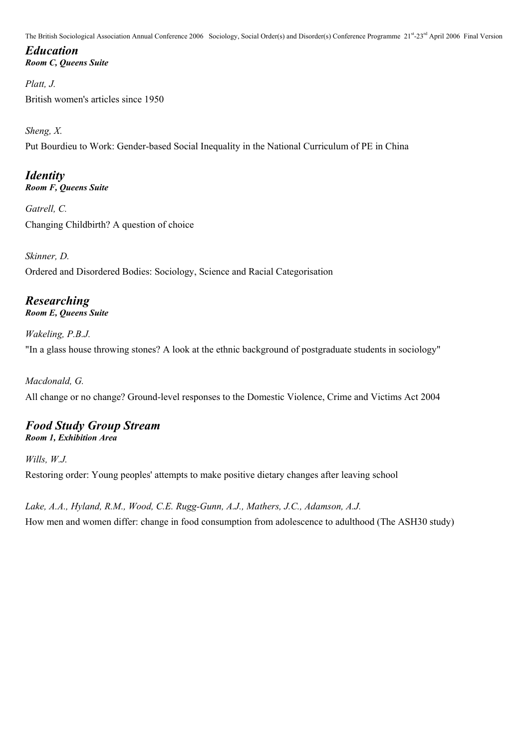### *Education Room C, Queens Suite*

*Platt, J.* British women's articles since 1950

*Sheng, X.*

Put Bourdieu to Work: Gender-based Social Inequality in the National Curriculum of PE in China

### *Identity Room F, Queens Suite*

*Gatrell, C.* Changing Childbirth? A question of choice

*Skinner, D.* Ordered and Disordered Bodies: Sociology, Science and Racial Categorisation

### *Researching Room E, Queens Suite*

*Wakeling, P.B.J.* "In a glass house throwing stones? A look at the ethnic background of postgraduate students in sociology"

*Macdonald, G.* All change or no change? Ground-level responses to the Domestic Violence, Crime and Victims Act 2004

### *Food Study Group Stream Room 1, Exhibition Area*

*Wills, W.J.* Restoring order: Young peoples' attempts to make positive dietary changes after leaving school

*Lake, A.A., Hyland, R.M., Wood, C.E. Rugg-Gunn, A.J., Mathers, J.C., Adamson, A.J.* How men and women differ: change in food consumption from adolescence to adulthood (The ASH30 study)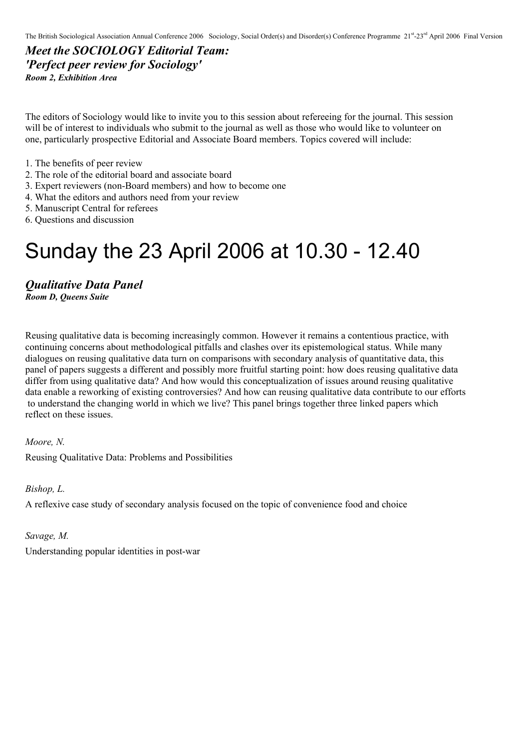*Meet the SOCIOLOGY Editorial Team: 'Perfect peer review for Sociology' Room 2, Exhibition Area*

The editors of Sociology would like to invite you to this session about refereeing for the journal. This session will be of interest to individuals who submit to the journal as well as those who would like to volunteer on one, particularly prospective Editorial and Associate Board members. Topics covered will include:

- 1. The benefits of peer review
- 2. The role of the editorial board and associate board
- 3. Expert reviewers (non-Board members) and how to become one
- 4. What the editors and authors need from your review
- 5. Manuscript Central for referees
- 6. Questions and discussion

### Sunday the 23 April 2006 at 10.30 - 12.40

*Qualitative Data Panel Room D, Queens Suite*

Reusing qualitative data is becoming increasingly common. However it remains a contentious practice, with continuing concerns about methodological pitfalls and clashes over its epistemological status. While many dialogues on reusing qualitative data turn on comparisons with secondary analysis of quantitative data, this panel of papers suggests a different and possibly more fruitful starting point: how does reusing qualitative data differ from using qualitative data? And how would this conceptualization of issues around reusing qualitative data enable a reworking of existing controversies? And how can reusing qualitative data contribute to our efforts to understand the changing world in which we live? This panel brings together three linked papers which reflect on these issues.

*Moore, N.*

Reusing Qualitative Data: Problems and Possibilities

*Bishop, L.*

A reflexive case study of secondary analysis focused on the topic of convenience food and choice

*Savage, M.*

Understanding popular identities in post-war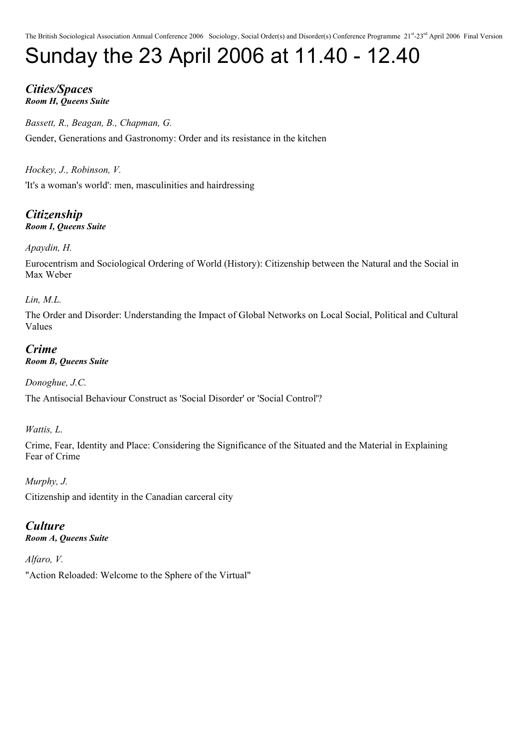# Sunday the 23 April 2006 at 11.40 - 12.40

### *Cities/Spaces Room H, Queens Suite*

*Bassett, R., Beagan, B., Chapman, G.* Gender, Generations and Gastronomy: Order and its resistance in the kitchen

*Hockey, J., Robinson, V.*

'It's a woman's world': men, masculinities and hairdressing

*Citizenship Room I, Queens Suite*

### *Apaydin, H.*

Eurocentrism and Sociological Ordering of World (History): Citizenship between the Natural and the Social in Max Weber

*Lin, M.L.*

The Order and Disorder: Understanding the Impact of Global Networks on Local Social, Political and Cultural Values

### *Crime Room B, Queens Suite*

*Donoghue, J.C.*

The Antisocial Behaviour Construct as 'Social Disorder' or 'Social Control'?

*Wattis, L.*

Crime, Fear, Identity and Place: Considering the Significance of the Situated and the Material in Explaining Fear of Crime

*Murphy, J.* Citizenship and identity in the Canadian carceral city

### *Culture*

*Room A, Queens Suite*

*Alfaro, V.*

"Action Reloaded: Welcome to the Sphere of the Virtual"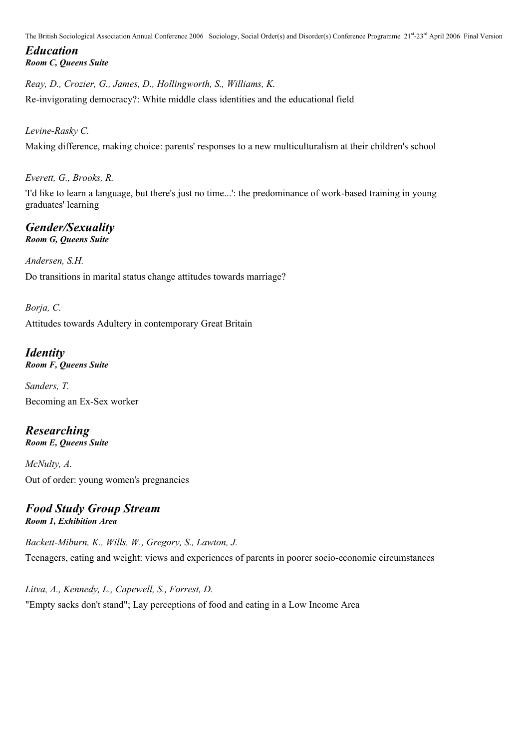### *Education Room C, Queens Suite*

*Reay, D., Crozier, G., James, D., Hollingworth, S., Williams, K.* Re-invigorating democracy?: White middle class identities and the educational field

### *Levine-Rasky C.*

Making difference, making choice: parents' responses to a new multiculturalism at their children's school

*Everett, G., Brooks, R.*

'I'd like to learn a language, but there's just no time...': the predominance of work-based training in young graduates' learning

### *Gender/Sexuality Room G, Queens Suite*

*Andersen, S.H.* Do transitions in marital status change attitudes towards marriage?

*Borja, C.* Attitudes towards Adultery in contemporary Great Britain

### *Identity Room F, Queens Suite*

*Sanders, T.* Becoming an Ex-Sex worker

*Researching Room E, Queens Suite*

*McNulty, A.* Out of order: young women's pregnancies

### *Food Study Group Stream Room 1, Exhibition Area*

*Backett-Miburn, K., Wills, W., Gregory, S., Lawton, J.* Teenagers, eating and weight: views and experiences of parents in poorer socio-economic circumstances

*Litva, A., Kennedy, L., Capewell, S., Forrest, D.* "Empty sacks don't stand"; Lay perceptions of food and eating in a Low Income Area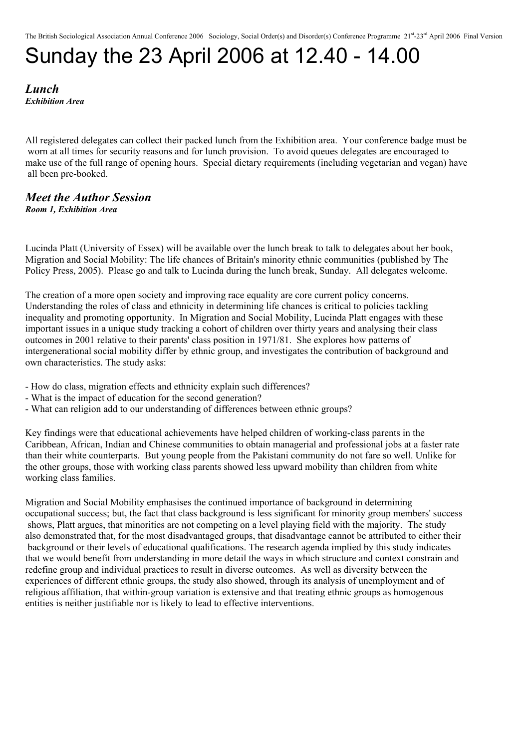# Sunday the 23 April 2006 at 12.40 - 14.00

*Lunch Exhibition Area*

All registered delegates can collect their packed lunch from the Exhibition area. Your conference badge must be worn at all times for security reasons and for lunch provision. To avoid queues delegates are encouraged to make use of the full range of opening hours. Special dietary requirements (including vegetarian and vegan) have all been pre-booked.

#### *Meet the Author Session Room 1, Exhibition Area*

Lucinda Platt (University of Essex) will be available over the lunch break to talk to delegates about her book, Migration and Social Mobility: The life chances of Britain's minority ethnic communities (published by The Policy Press, 2005). Please go and talk to Lucinda during the lunch break, Sunday. All delegates welcome.

The creation of a more open society and improving race equality are core current policy concerns. Understanding the roles of class and ethnicity in determining life chances is critical to policies tackling inequality and promoting opportunity. In Migration and Social Mobility, Lucinda Platt engages with these important issues in a unique study tracking a cohort of children over thirty years and analysing their class outcomes in 2001 relative to their parents' class position in 1971/81. She explores how patterns of intergenerational social mobility differ by ethnic group, and investigates the contribution of background and own characteristics. The study asks:

- How do class, migration effects and ethnicity explain such differences?
- What is the impact of education for the second generation?
- What can religion add to our understanding of differences between ethnic groups?

Key findings were that educational achievements have helped children of working-class parents in the Caribbean, African, Indian and Chinese communities to obtain managerial and professional jobs at a faster rate than their white counterparts. But young people from the Pakistani community do not fare so well. Unlike for the other groups, those with working class parents showed less upward mobility than children from white working class families.

Migration and Social Mobility emphasises the continued importance of background in determining occupational success; but, the fact that class background is less significant for minority group members' success shows, Platt argues, that minorities are not competing on a level playing field with the majority. The study also demonstrated that, for the most disadvantaged groups, that disadvantage cannot be attributed to either their background or their levels of educational qualifications. The research agenda implied by this study indicates that we would benefit from understanding in more detail the ways in which structure and context constrain and redefine group and individual practices to result in diverse outcomes. As well as diversity between the experiences of different ethnic groups, the study also showed, through its analysis of unemployment and of religious affiliation, that within-group variation is extensive and that treating ethnic groups as homogenous entities is neither justifiable nor is likely to lead to effective interventions.